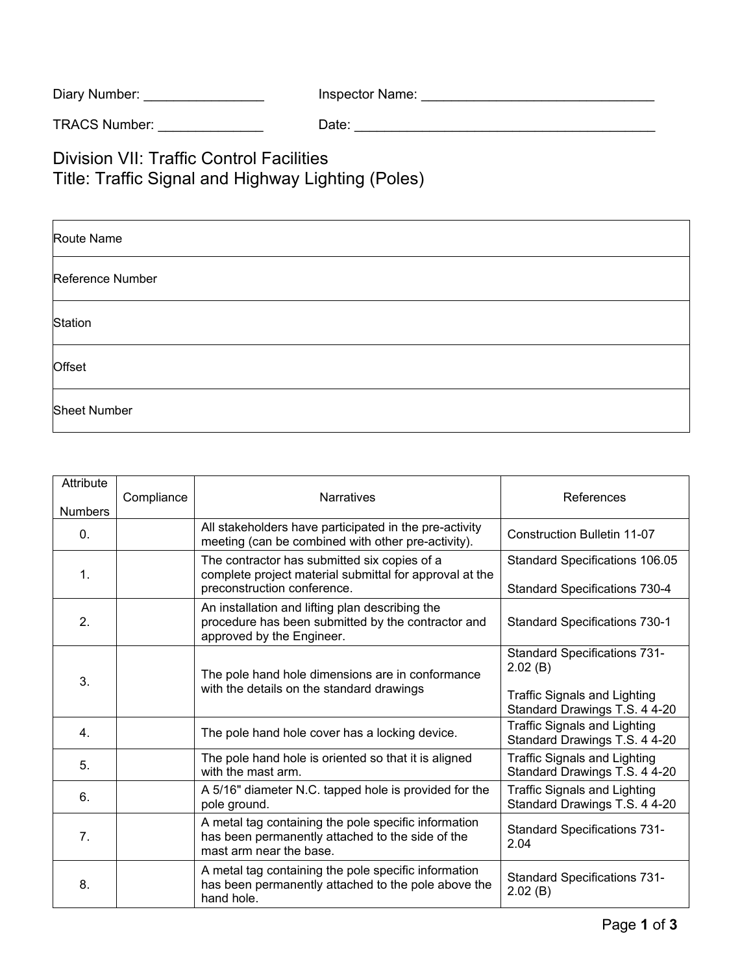| Diary Number: | Inspector Name: |
|---------------|-----------------|
|---------------|-----------------|

TRACS Number: \_\_\_\_\_\_\_\_\_\_\_\_\_\_ Date: \_\_\_\_\_\_\_\_\_\_\_\_\_\_\_\_\_\_\_\_\_\_\_\_\_\_\_\_\_\_\_\_\_\_\_\_\_\_\_\_

Division VII: Traffic Control Facilities Title: Traffic Signal and Highway Lighting (Poles)

| Route Name          |
|---------------------|
| Reference Number    |
| Station             |
| Offset              |
| <b>Sheet Number</b> |

| Attribute<br><b>Numbers</b> | Compliance | <b>Narratives</b>                                                                                                                      | References                                                                                                             |
|-----------------------------|------------|----------------------------------------------------------------------------------------------------------------------------------------|------------------------------------------------------------------------------------------------------------------------|
| $\mathbf{0}$ .              |            | All stakeholders have participated in the pre-activity<br>meeting (can be combined with other pre-activity).                           | <b>Construction Bulletin 11-07</b>                                                                                     |
| 1.                          |            | The contractor has submitted six copies of a<br>complete project material submittal for approval at the<br>preconstruction conference. | Standard Specifications 106.05<br><b>Standard Specifications 730-4</b>                                                 |
| 2.                          |            | An installation and lifting plan describing the<br>procedure has been submitted by the contractor and<br>approved by the Engineer.     | <b>Standard Specifications 730-1</b>                                                                                   |
| 3.                          |            | The pole hand hole dimensions are in conformance<br>with the details on the standard drawings                                          | <b>Standard Specifications 731-</b><br>2.02(B)<br><b>Traffic Signals and Lighting</b><br>Standard Drawings T.S. 4 4-20 |
| 4.                          |            | The pole hand hole cover has a locking device.                                                                                         | <b>Traffic Signals and Lighting</b><br>Standard Drawings T.S. 4 4-20                                                   |
| 5.                          |            | The pole hand hole is oriented so that it is aligned<br>with the mast arm.                                                             | <b>Traffic Signals and Lighting</b><br>Standard Drawings T.S. 4 4-20                                                   |
| 6.                          |            | A 5/16" diameter N.C. tapped hole is provided for the<br>pole ground.                                                                  | <b>Traffic Signals and Lighting</b><br>Standard Drawings T.S. 4 4-20                                                   |
| 7.                          |            | A metal tag containing the pole specific information<br>has been permanently attached to the side of the<br>mast arm near the base.    | <b>Standard Specifications 731-</b><br>2.04                                                                            |
| 8.                          |            | A metal tag containing the pole specific information<br>has been permanently attached to the pole above the<br>hand hole.              | <b>Standard Specifications 731-</b><br>2.02(B)                                                                         |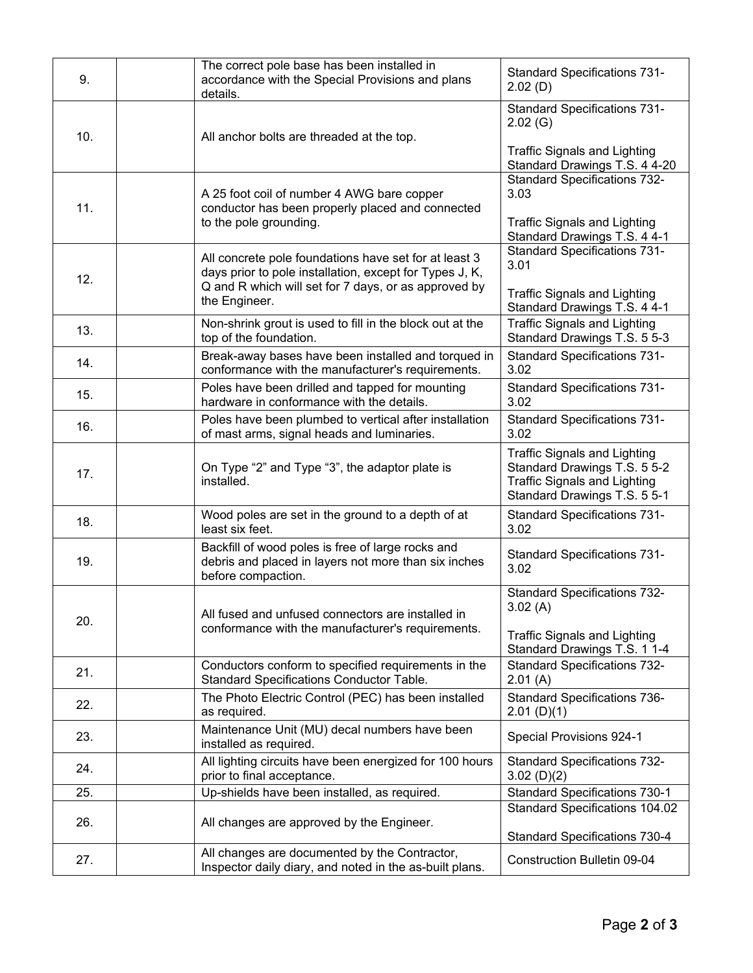| 9.  | The correct pole base has been installed in<br>accordance with the Special Provisions and plans<br>details.                                                              | <b>Standard Specifications 731-</b><br>2.02(D)                                                                                             |
|-----|--------------------------------------------------------------------------------------------------------------------------------------------------------------------------|--------------------------------------------------------------------------------------------------------------------------------------------|
| 10. | All anchor bolts are threaded at the top.                                                                                                                                | <b>Standard Specifications 731-</b><br>2.02(G)                                                                                             |
|     |                                                                                                                                                                          | <b>Traffic Signals and Lighting</b><br>Standard Drawings T.S. 4 4-20                                                                       |
| 11. | A 25 foot coil of number 4 AWG bare copper<br>conductor has been properly placed and connected<br>to the pole grounding.                                                 | <b>Standard Specifications 732-</b><br>3.03<br><b>Traffic Signals and Lighting</b>                                                         |
|     |                                                                                                                                                                          | Standard Drawings T.S. 4 4-1<br><b>Standard Specifications 731-</b>                                                                        |
| 12. | All concrete pole foundations have set for at least 3<br>days prior to pole installation, except for Types J, K,<br>Q and R which will set for 7 days, or as approved by | 3.01                                                                                                                                       |
|     | the Engineer.                                                                                                                                                            | <b>Traffic Signals and Lighting</b><br>Standard Drawings T.S. 4 4-1                                                                        |
| 13. | Non-shrink grout is used to fill in the block out at the<br>top of the foundation.                                                                                       | <b>Traffic Signals and Lighting</b><br>Standard Drawings T.S. 5 5-3                                                                        |
| 14. | Break-away bases have been installed and torqued in<br>conformance with the manufacturer's requirements.                                                                 | <b>Standard Specifications 731-</b><br>3.02                                                                                                |
| 15. | Poles have been drilled and tapped for mounting<br>hardware in conformance with the details.                                                                             | <b>Standard Specifications 731-</b><br>3.02                                                                                                |
| 16. | Poles have been plumbed to vertical after installation<br>of mast arms, signal heads and luminaries.                                                                     | <b>Standard Specifications 731-</b><br>3.02                                                                                                |
| 17. | On Type "2" and Type "3", the adaptor plate is<br>installed.                                                                                                             | <b>Traffic Signals and Lighting</b><br>Standard Drawings T.S. 5 5-2<br><b>Traffic Signals and Lighting</b><br>Standard Drawings T.S. 5 5-1 |
| 18. | Wood poles are set in the ground to a depth of at<br>least six feet.                                                                                                     | <b>Standard Specifications 731-</b><br>3.02                                                                                                |
| 19. | Backfill of wood poles is free of large rocks and<br>debris and placed in layers not more than six inches<br>before compaction.                                          | <b>Standard Specifications 731-</b><br>3.02                                                                                                |
|     |                                                                                                                                                                          | <b>Standard Specifications 732-</b><br>3.02(A)                                                                                             |
| 20. | All fused and unfused connectors are installed in<br>conformance with the manufacturer's requirements.                                                                   | <b>Traffic Signals and Lighting</b><br>Standard Drawings T.S. 1 1-4                                                                        |
| 21. | Conductors conform to specified requirements in the<br>Standard Specifications Conductor Table.                                                                          | <b>Standard Specifications 732-</b><br>2.01(A)                                                                                             |
| 22. | The Photo Electric Control (PEC) has been installed<br>as required.                                                                                                      | <b>Standard Specifications 736-</b><br>$2.01$ (D)(1)                                                                                       |
| 23. | Maintenance Unit (MU) decal numbers have been<br>installed as required.                                                                                                  | Special Provisions 924-1                                                                                                                   |
| 24. | All lighting circuits have been energized for 100 hours<br>prior to final acceptance.                                                                                    | <b>Standard Specifications 732-</b><br>3.02(D)(2)                                                                                          |
| 25. | Up-shields have been installed, as required.                                                                                                                             | <b>Standard Specifications 730-1</b>                                                                                                       |
| 26. | All changes are approved by the Engineer.                                                                                                                                | Standard Specifications 104.02<br><b>Standard Specifications 730-4</b>                                                                     |
| 27. | All changes are documented by the Contractor,<br>Inspector daily diary, and noted in the as-built plans.                                                                 | <b>Construction Bulletin 09-04</b>                                                                                                         |